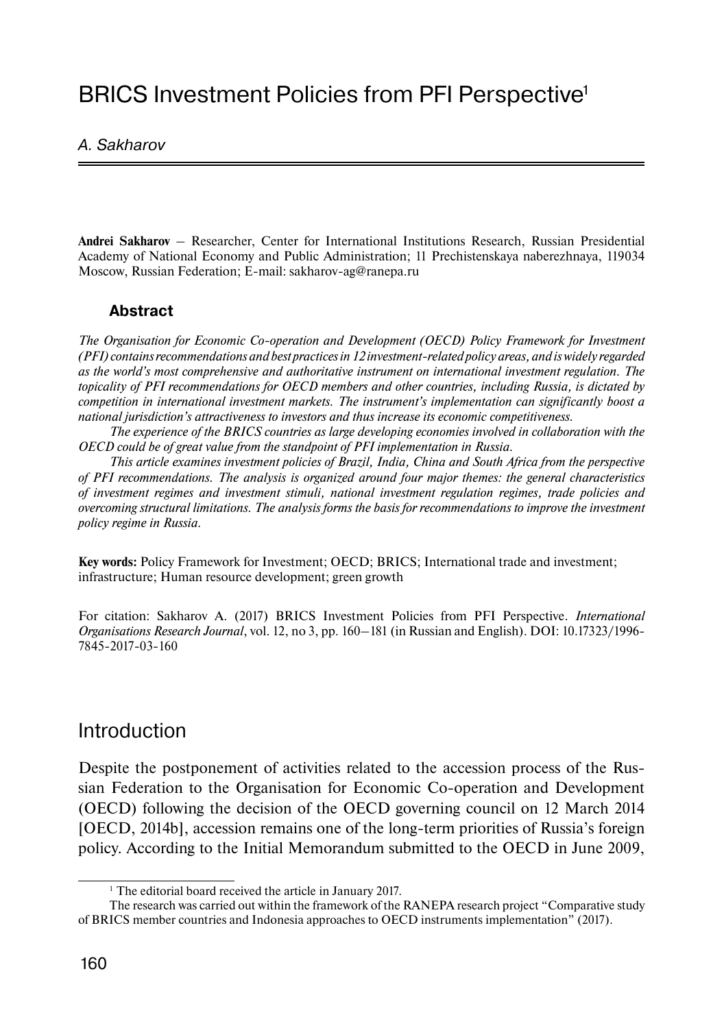# BRICS Investment Policies from PFI Perspective<sup>1</sup>

### A. Sakharov

**Andrei Sakharov** – Researcher, Center for International Institutions Research, Russian Presidential Academy of National Economy and Public Administration; 11 Prechistenskaya naberezhnaya, 119034 Moscow, Russian Federation; E-mail: sakharov-ag@ranepa.ru

### **Abstract**

*The Organisation for Economic Co-operation and Development (OECD) Policy Framework for Investment (PFI) contains recommendations and best practices in 12 investment-related policy areas, and is widely regarded as the world's most comprehensive and authoritative instrument on international investment regulation. The topicality of PFI recommendations for OECD members and other countries, including Russia, is dictated by competition in international investment markets. The instrument's implementation can significantly boost a national jurisdiction's attractiveness to investors and thus increase its economic competitiveness.*

*The experience of the BRICS countries as large developing economies involved in collaboration with the OECD could be of great value from the standpoint of PFI implementation in Russia.*

*This article examines investment policies of Brazil, India, China and South Africa from the perspective of PFI recommendations. The analysis is organized around four major themes: the general characteristics of investment regimes and investment stimuli, national investment regulation regimes, trade policies and overcoming structural limitations. The analysis forms the basis for recommendations to improve the investment policy regime in Russia.*

**Key words:** Policy Framework for Investment; OECD; BRICS; International trade and investment; infrastructure; Human resource development; green growth

For citation: Sakharov A. (2017) BRICS Investment Policies from PFI Perspective. *International Organisations Research Journal*, vol. 12, no 3, pp. 160–181 (in Russian and English). DOI: 10.17323/1996- 7845-2017-03-160

## Introduction

Despite the postponement of activities related to the accession process of the Russian Federation to the Organisation for Economic Co-operation and Development (OECD) following the decision of the OECD governing council on 12 March 2014 [OECD, 2014b], accession remains one of the long-term priorities of Russia's foreign policy. According to the Initial Memorandum submitted to the OECD in June 2009,

<sup>&</sup>lt;sup>1</sup> The editorial board received the article in January 2017.

The research was carried out within the framework of the RANEPA research project "Comparative study of BRICS member countries and Indonesia approaches to OECD instruments implementation" (2017).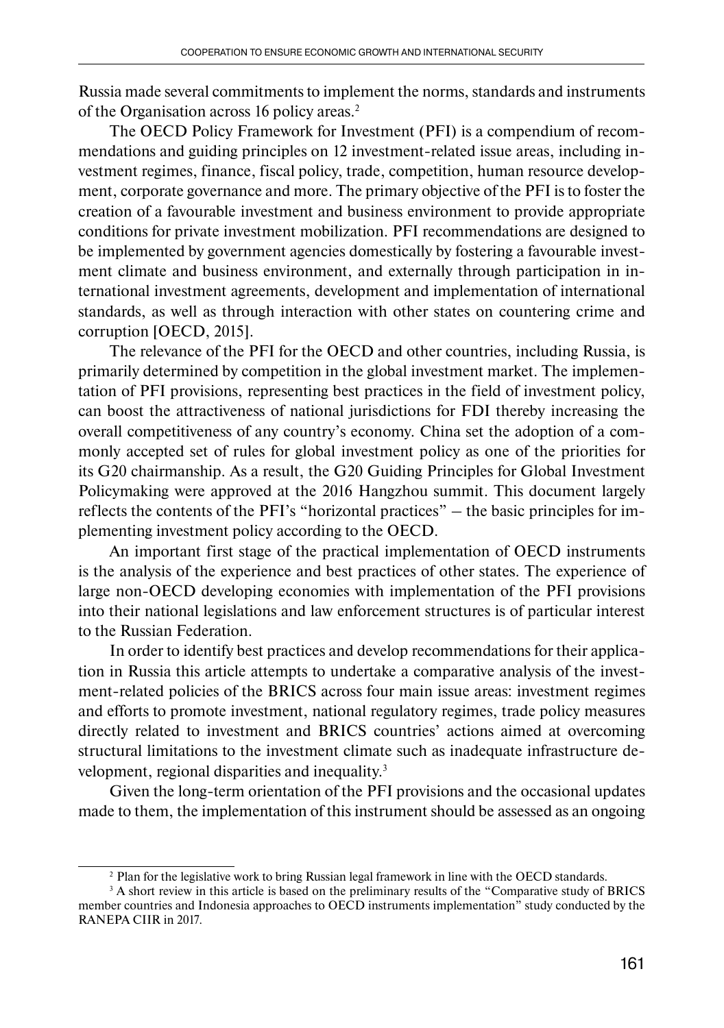Russia made several commitments to implement the norms, standards and instruments of the Organisation across 16 policy areas.2

The OECD Policy Framework for Investment (PFI) is a compendium of recommendations and guiding principles on 12 investment-related issue areas, including investment regimes, finance, fiscal policy, trade, competition, human resource development, corporate governance and more. The primary objective of the PFI is to foster the creation of a favourable investment and business environment to provide appropriate conditions for private investment mobilization. PFI recommendations are designed to be implemented by government agencies domestically by fostering a favourable investment climate and business environment, and externally through participation in international investment agreements, development and implementation of international standards, as well as through interaction with other states on countering crime and corruption [OECD, 2015].

The relevance of the PFI for the OECD and other countries, including Russia, is primarily determined by competition in the global investment market. The implementation of PFI provisions, representing best practices in the field of investment policy, can boost the attractiveness of national jurisdictions for FDI thereby increasing the overall competitiveness of any country's economy. China set the adoption of a commonly accepted set of rules for global investment policy as one of the priorities for its G20 chairmanship. As a result, the G20 Guiding Principles for Global Investment Policymaking were approved at the 2016 Hangzhou summit. This document largely reflects the contents of the PFI's "horizontal practices" – the basic principles for implementing investment policy according to the OECD.

An important first stage of the practical implementation of OECD instruments is the analysis of the experience and best practices of other states. The experience of large non-OECD developing economies with implementation of the PFI provisions into their national legislations and law enforcement structures is of particular interest to the Russian Federation.

In order to identify best practices and develop recommendations for their application in Russia this article attempts to undertake a comparative analysis of the investment-related policies of the BRICS across four main issue areas: investment regimes and efforts to promote investment, national regulatory regimes, trade policy measures directly related to investment and BRICS countries' actions aimed at overcoming structural limitations to the investment climate such as inadequate infrastructure development, regional disparities and inequality.3

Given the long-term orientation of the PFI provisions and the occasional updates made to them, the implementation of this instrument should be assessed as an ongoing

<sup>2</sup> Plan for the legislative work to bring Russian legal framework in line with the OECD standards.

<sup>&</sup>lt;sup>3</sup> A short review in this article is based on the preliminary results of the "Comparative study of BRICS member countries and Indonesia approaches to OECD instruments implementation" study conducted by the RANEPA CIIR in 2017.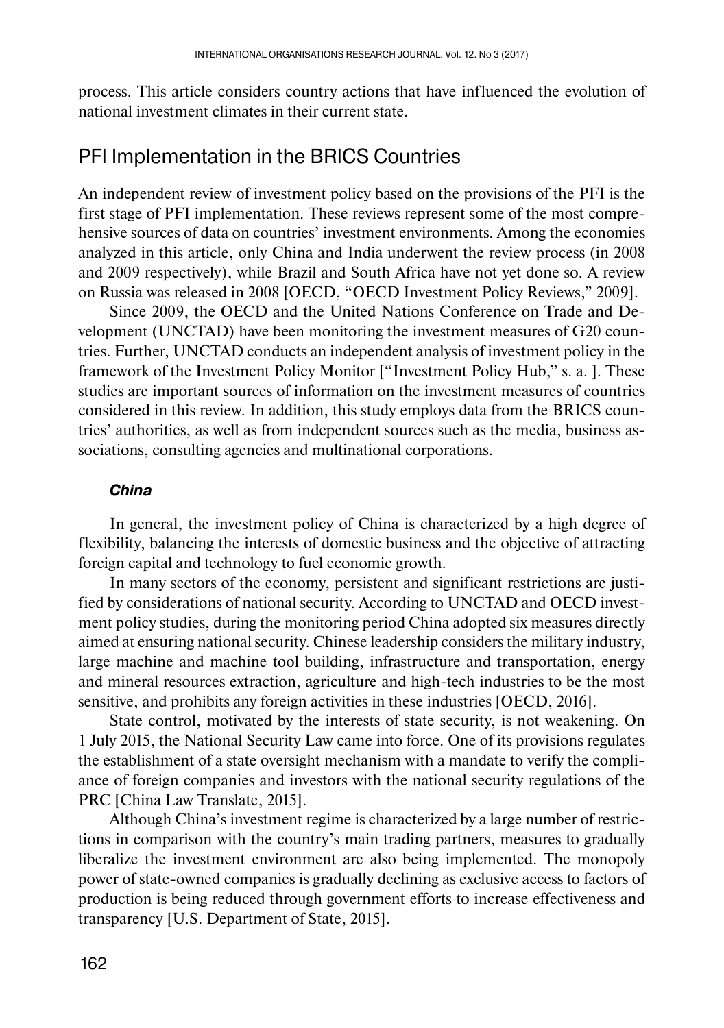process. This article considers country actions that have influenced the evolution of national investment climates in their current state.

## PFI Implementation in the BRICS Countries

An independent review of investment policy based on the provisions of the PFI is the first stage of PFI implementation. These reviews represent some of the most comprehensive sources of data on countries' investment environments. Among the economies analyzed in this article, only China and India underwent the review process (in 2008 and 2009 respectively), while Brazil and South Africa have not yet done so. A review on Russia was released in 2008 [OECD, "OECD Investment Policy Reviews," 2009].

Since 2009, the OECD and the United Nations Conference on Trade and Development (UNCTAD) have been monitoring the investment measures of G20 countries. Further, UNCTAD conducts an independent analysis of investment policy in the framework of the Investment Policy Monitor ["Investment Policy Hub," s. a. ]. These studies are important sources of information on the investment measures of countries considered in this review. In addition, this study employs data from the BRICS countries' authorities, as well as from independent sources such as the media, business associations, consulting agencies and multinational corporations.

### *China*

In general, the investment policy of China is characterized by a high degree of flexibility, balancing the interests of domestic business and the objective of attracting foreign capital and technology to fuel economic growth.

In many sectors of the economy, persistent and significant restrictions are justified by considerations of national security. According to UNCTAD and OECD investment policy studies, during the monitoring period China adopted six measures directly aimed at ensuring national security. Chinese leadership considers the military industry, large machine and machine tool building, infrastructure and transportation, energy and mineral resources extraction, agriculture and high-tech industries to be the most sensitive, and prohibits any foreign activities in these industries [OECD, 2016].

State control, motivated by the interests of state security, is not weakening. On 1 July 2015, the National Security Law came into force. One of its provisions regulates the establishment of a state oversight mechanism with a mandate to verify the compliance of foreign companies and investors with the national security regulations of the PRC [China Law Translate, 2015].

Although China's investment regime is characterized by a large number of restrictions in comparison with the country's main trading partners, measures to gradually liberalize the investment environment are also being implemented. The monopoly power of state-owned companies is gradually declining as exclusive access to factors of production is being reduced through government efforts to increase effectiveness and transparency [U.S. Department of State, 2015].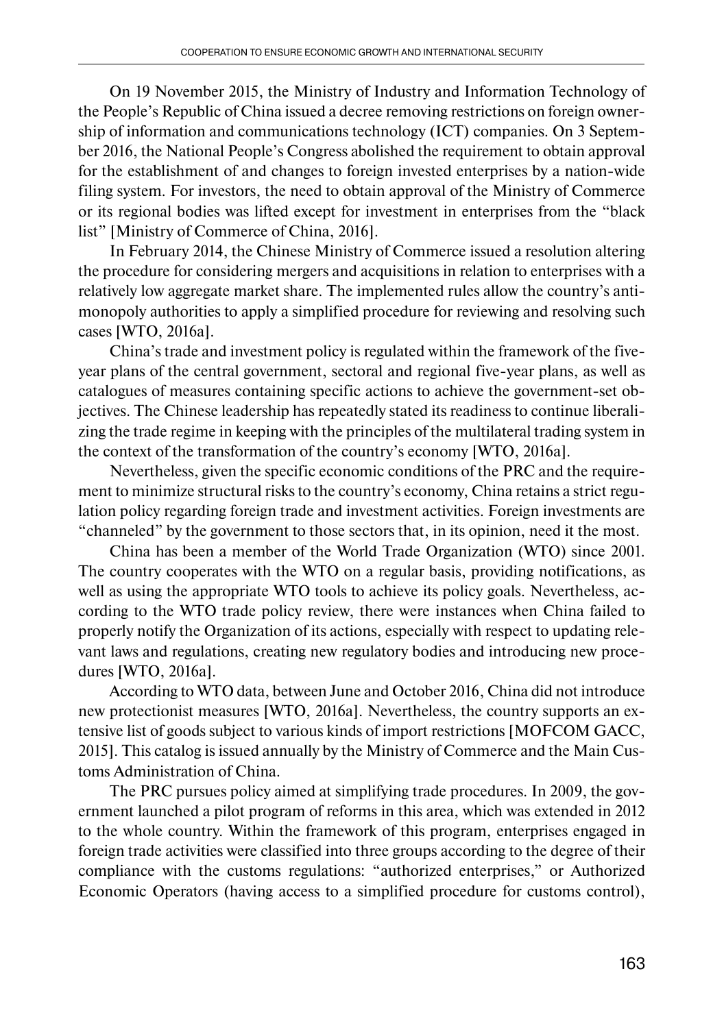On 19 November 2015, the Ministry of Industry and Information Technology of the People's Republic of China issued a decree removing restrictions on foreign ownership of information and communications technology (ICT) companies. On 3 September 2016, the National People's Congress abolished the requirement to obtain approval for the establishment of and changes to foreign invested enterprises by a nation-wide filing system. For investors, the need to obtain approval of the Ministry of Commerce or its regional bodies was lifted except for investment in enterprises from the "black list" [Ministry of Commerce of China, 2016].

In February 2014, the Chinese Ministry of Commerce issued a resolution altering the procedure for considering mergers and acquisitions in relation to enterprises with a relatively low aggregate market share. The implemented rules allow the country's antimonopoly authorities to apply a simplified procedure for reviewing and resolving such cases [WTO, 2016a].

China's trade and investment policy is regulated within the framework of the fiveyear plans of the central government, sectoral and regional five-year plans, as well as catalogues of measures containing specific actions to achieve the government-set objectives. The Chinese leadership has repeatedly stated its readiness to continue liberalizing the trade regime in keeping with the principles of the multilateral trading system in the context of the transformation of the country's economy [WTO, 2016a].

Nevertheless, given the specific economic conditions of the PRC and the requirement to minimize structural risks to the country's economy, China retains a strict regulation policy regarding foreign trade and investment activities. Foreign investments are "channeled" by the government to those sectors that, in its opinion, need it the most.

China has been a member of the World Trade Organization (WTO) since 2001. The country cooperates with the WTO on a regular basis, providing notifications, as well as using the appropriate WTO tools to achieve its policy goals. Nevertheless, according to the WTO trade policy review, there were instances when China failed to properly notify the Organization of its actions, especially with respect to updating relevant laws and regulations, creating new regulatory bodies and introducing new procedures [WTO, 2016a].

According to WTO data, between June and October 2016, China did not introduce new protectionist measures [WTO, 2016a]. Nevertheless, the country supports an extensive list of goods subject to various kinds of import restrictions [MOFCOM GACC, 2015]. This catalog is issued annually by the Ministry of Commerce and the Main Customs Administration of China.

The PRC pursues policy aimed at simplifying trade procedures. In 2009, the government launched a pilot program of reforms in this area, which was extended in 2012 to the whole country. Within the framework of this program, enterprises engaged in foreign trade activities were classified into three groups according to the degree of their compliance with the customs regulations: "authorized enterprises," or Authorized Economic Operators (having access to a simplified procedure for customs control),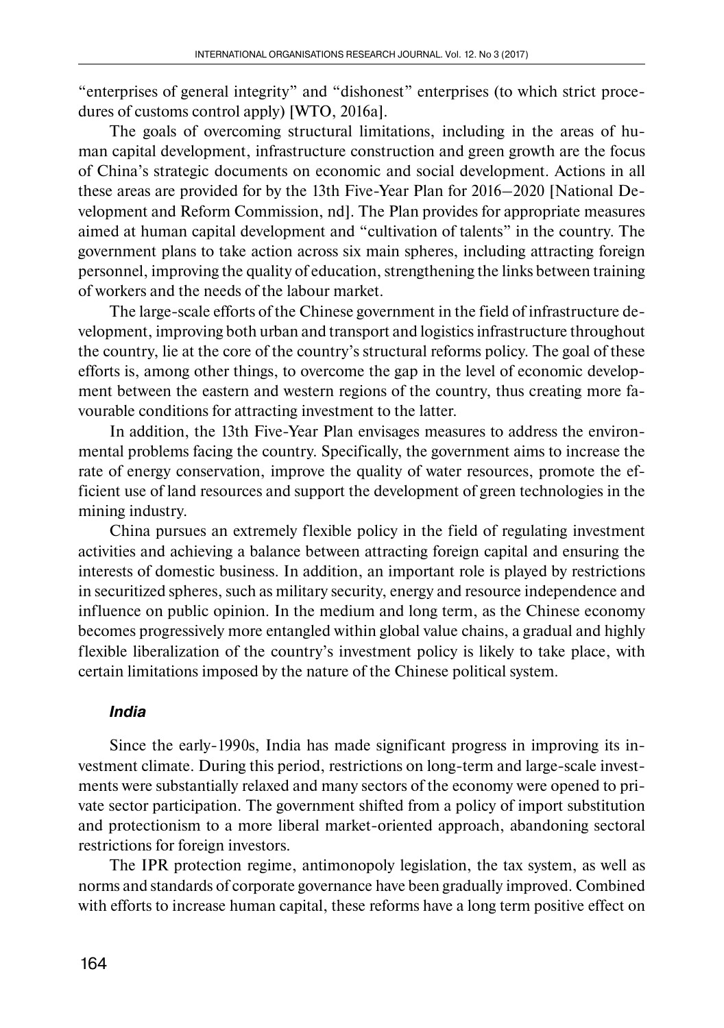"enterprises of general integrity" and "dishonest" enterprises (to which strict procedures of customs control apply) [WTO, 2016a].

The goals of overcoming structural limitations, including in the areas of human capital development, infrastructure construction and green growth are the focus of China's strategic documents on economic and social development. Actions in all these areas are provided for by the 13th Five-Year Plan for 2016–2020 [National Development and Reform Commission, nd]. The Plan provides for appropriate measures aimed at human capital development and "cultivation of talents" in the country. The government plans to take action across six main spheres, including attracting foreign personnel, improving the quality of education, strengthening the links between training of workers and the needs of the labour market.

The large-scale efforts of the Chinese government in the field of infrastructure development, improving both urban and transport and logistics infrastructure throughout the country, lie at the core of the country's structural reforms policy. The goal of these efforts is, among other things, to overcome the gap in the level of economic development between the eastern and western regions of the country, thus creating more favourable conditions for attracting investment to the latter.

In addition, the 13th Five-Year Plan envisages measures to address the environmental problems facing the country. Specifically, the government aims to increase the rate of energy conservation, improve the quality of water resources, promote the efficient use of land resources and support the development of green technologies in the mining industry.

China pursues an extremely flexible policy in the field of regulating investment activities and achieving a balance between attracting foreign capital and ensuring the interests of domestic business. In addition, an important role is played by restrictions in securitized spheres, such as military security, energy and resource independence and influence on public opinion. In the medium and long term, as the Chinese economy becomes progressively more entangled within global value chains, a gradual and highly flexible liberalization of the country's investment policy is likely to take place, with certain limitations imposed by the nature of the Chinese political system.

### *India*

Since the early-1990s, India has made significant progress in improving its investment climate. During this period, restrictions on long-term and large-scale investments were substantially relaxed and many sectors of the economy were opened to private sector participation. The government shifted from a policy of import substitution and protectionism to a more liberal market-oriented approach, abandoning sectoral restrictions for foreign investors.

The IPR protection regime, antimonopoly legislation, the tax system, as well as norms and standards of corporate governance have been gradually improved. Combined with efforts to increase human capital, these reforms have a long term positive effect on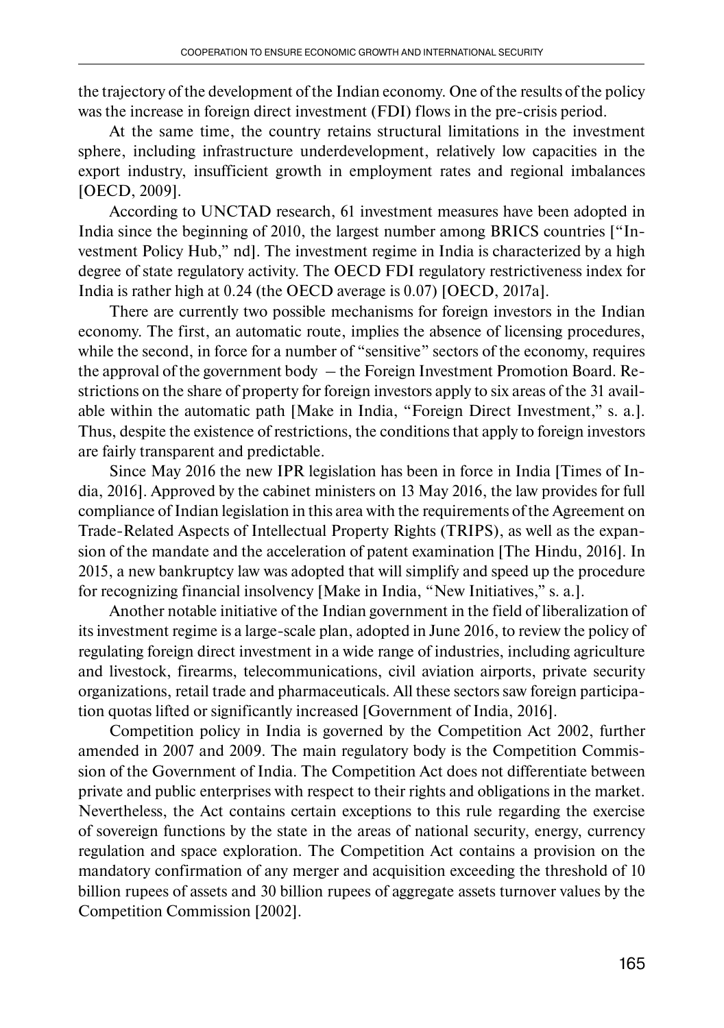the trajectory of the development of the Indian economy. One of the results of the policy was the increase in foreign direct investment (FDI) flows in the pre-crisis period.

At the same time, the country retains structural limitations in the investment sphere, including infrastructure underdevelopment, relatively low capacities in the export industry, insufficient growth in employment rates and regional imbalances [OECD, 2009].

According to UNCTAD research, 61 investment measures have been adopted in India since the beginning of 2010, the largest number among BRICS countries ["Investment Policy Hub," nd]. The investment regime in India is characterized by a high degree of state regulatory activity. The OECD FDI regulatory restrictiveness index for India is rather high at 0.24 (the OECD average is 0.07) [OECD, 2017a].

There are currently two possible mechanisms for foreign investors in the Indian economy. The first, an automatic route, implies the absence of licensing procedures, while the second, in force for a number of "sensitive" sectors of the economy, requires the approval of the government body – the Foreign Investment Promotion Board. Restrictions on the share of property for foreign investors apply to six areas of the 31 available within the automatic path [Make in India, "Foreign Direct Investment," s. a.]. Thus, despite the existence of restrictions, the conditions that apply to foreign investors are fairly transparent and predictable.

Since May 2016 the new IPR legislation has been in force in India [Times of India, 2016]. Approved by the cabinet ministers on 13 May 2016, the law provides for full compliance of Indian legislation in this area with the requirements of the Agreement on Trade-Related Aspects of Intellectual Property Rights (TRIPS), as well as the expansion of the mandate and the acceleration of patent examination [The Hindu, 2016]. In 2015, a new bankruptcy law was adopted that will simplify and speed up the procedure for recognizing financial insolvency [Make in India, "New Initiatives," s. a.].

Another notable initiative of the Indian government in the field of liberalization of its investment regime is a large-scale plan, adopted in June 2016, to review the policy of regulating foreign direct investment in a wide range of industries, including agriculture and livestock, firearms, telecommunications, civil aviation airports, private security organizations, retail trade and pharmaceuticals. All these sectors saw foreign participation quotas lifted or significantly increased [Government of India, 2016].

Competition policy in India is governed by the Competition Act 2002, further amended in 2007 and 2009. The main regulatory body is the Competition Commission of the Government of India. The Competition Act does not differentiate between private and public enterprises with respect to their rights and obligations in the market. Nevertheless, the Act contains certain exceptions to this rule regarding the exercise of sovereign functions by the state in the areas of national security, energy, currency regulation and space exploration. The Competition Act contains a provision on the mandatory confirmation of any merger and acquisition exceeding the threshold of 10 billion rupees of assets and 30 billion rupees of aggregate assets turnover values by the Competition Commission [2002].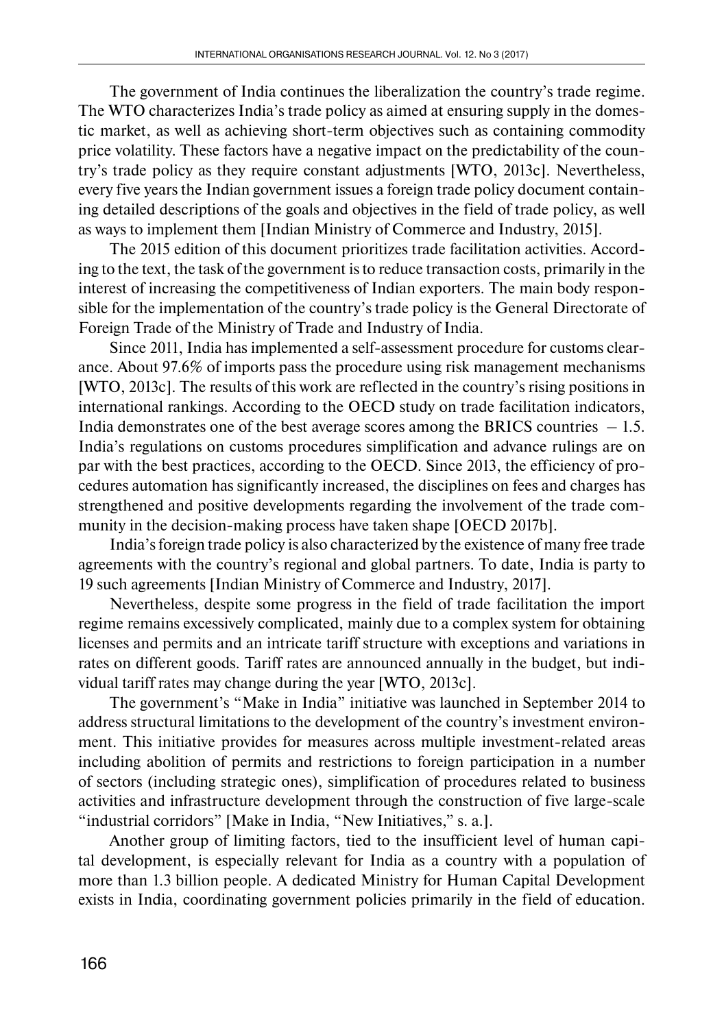The government of India continues the liberalization the country's trade regime. The WTO characterizes India's trade policy as aimed at ensuring supply in the domestic market, as well as achieving short-term objectives such as containing commodity price volatility. These factors have a negative impact on the predictability of the country's trade policy as they require constant adjustments [WTO, 2013c]. Nevertheless, every five years the Indian government issues a foreign trade policy document containing detailed descriptions of the goals and objectives in the field of trade policy, as well as ways to implement them [Indian Ministry of Commerce and Industry, 2015].

The 2015 edition of this document prioritizes trade facilitation activities. According to the text, the task of the government is to reduce transaction costs, primarily in the interest of increasing the competitiveness of Indian exporters. The main body responsible for the implementation of the country's trade policy is the General Directorate of Foreign Trade of the Ministry of Trade and Industry of India.

Since 2011, India has implemented a self-assessment procedure for customs clearance. About 97.6% of imports pass the procedure using risk management mechanisms [WTO, 2013c]. The results of this work are reflected in the country's rising positions in international rankings. According to the OECD study on trade facilitation indicators, India demonstrates one of the best average scores among the BRICS countries  $-1.5$ . India's regulations on customs procedures simplification and advance rulings are on par with the best practices, according to the OECD. Since 2013, the efficiency of procedures automation has significantly increased, the disciplines on fees and charges has strengthened and positive developments regarding the involvement of the trade community in the decision-making process have taken shape [OECD 2017b].

India's foreign trade policy is also characterized by the existence of many free trade agreements with the country's regional and global partners. To date, India is party to 19 such agreements [Indian Ministry of Commerce and Industry, 2017].

Nevertheless, despite some progress in the field of trade facilitation the import regime remains excessively complicated, mainly due to a complex system for obtaining licenses and permits and an intricate tariff structure with exceptions and variations in rates on different goods. Tariff rates are announced annually in the budget, but individual tariff rates may change during the year [WTO, 2013c].

The government's "Make in India" initiative was launched in September 2014 to address structural limitations to the development of the country's investment environment. This initiative provides for measures across multiple investment-related areas including abolition of permits and restrictions to foreign participation in a number of sectors (including strategic ones), simplification of procedures related to business activities and infrastructure development through the construction of five large-scale "industrial corridors" [Make in India, "New Initiatives," s. a.].

Another group of limiting factors, tied to the insufficient level of human capital development, is especially relevant for India as a country with a population of more than 1.3 billion people. A dedicated Ministry for Human Capital Development exists in India, coordinating government policies primarily in the field of education.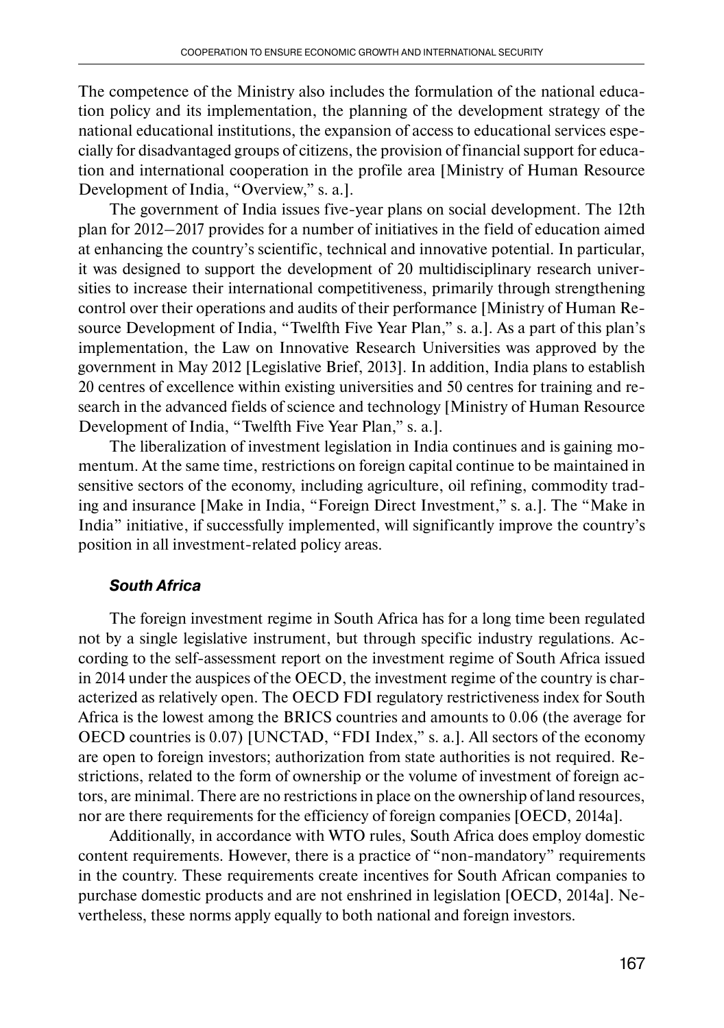The competence of the Ministry also includes the formulation of the national education policy and its implementation, the planning of the development strategy of the national educational institutions, the expansion of access to educational services especially for disadvantaged groups of citizens, the provision of financial support for education and international cooperation in the profile area [Ministry of Human Resource Development of India, "Overview," s. a.].

The government of India issues five-year plans on social development. The 12th plan for 2012–2017 provides for a number of initiatives in the field of education aimed at enhancing the country's scientific, technical and innovative potential. In particular, it was designed to support the development of 20 multidisciplinary research universities to increase their international competitiveness, primarily through strengthening control over their operations and audits of their performance [Ministry of Human Resource Development of India, "Twelfth Five Year Plan," s. a.]. As a part of this plan's implementation, the Law on Innovative Research Universities was approved by the government in May 2012 [Legislative Brief, 2013]. In addition, India plans to establish 20 centres of excellence within existing universities and 50 centres for training and research in the advanced fields of science and technology [Ministry of Human Resource Development of India, "Twelfth Five Year Plan," s. a.].

The liberalization of investment legislation in India continues and is gaining momentum. At the same time, restrictions on foreign capital continue to be maintained in sensitive sectors of the economy, including agriculture, oil refining, commodity trading and insurance [Make in India, "Foreign Direct Investment," s. a.]. The "Make in India" initiative, if successfully implemented, will significantly improve the country's position in all investment-related policy areas.

### *South Africa*

The foreign investment regime in South Africa has for a long time been regulated not by a single legislative instrument, but through specific industry regulations. According to the self-assessment report on the investment regime of South Africa issued in 2014 under the auspices of the OECD, the investment regime of the country is characterized as relatively open. The OECD FDI regulatory restrictiveness index for South Africa is the lowest among the BRICS countries and amounts to 0.06 (the average for OECD countries is 0.07) [UNCTAD, "FDI Index," s. a.]. All sectors of the economy are open to foreign investors; authorization from state authorities is not required. Restrictions, related to the form of ownership or the volume of investment of foreign actors, are minimal. There are no restrictions in place on the ownership of land resources, nor are there requirements for the efficiency of foreign companies [OECD, 2014a].

Additionally, in accordance with WTO rules, South Africa does employ domestic content requirements. However, there is a practice of "non-mandatory" requirements in the country. These requirements create incentives for South African companies to purchase domestic products and are not enshrined in legislation [OECD, 2014a]. Nevertheless, these norms apply equally to both national and foreign investors.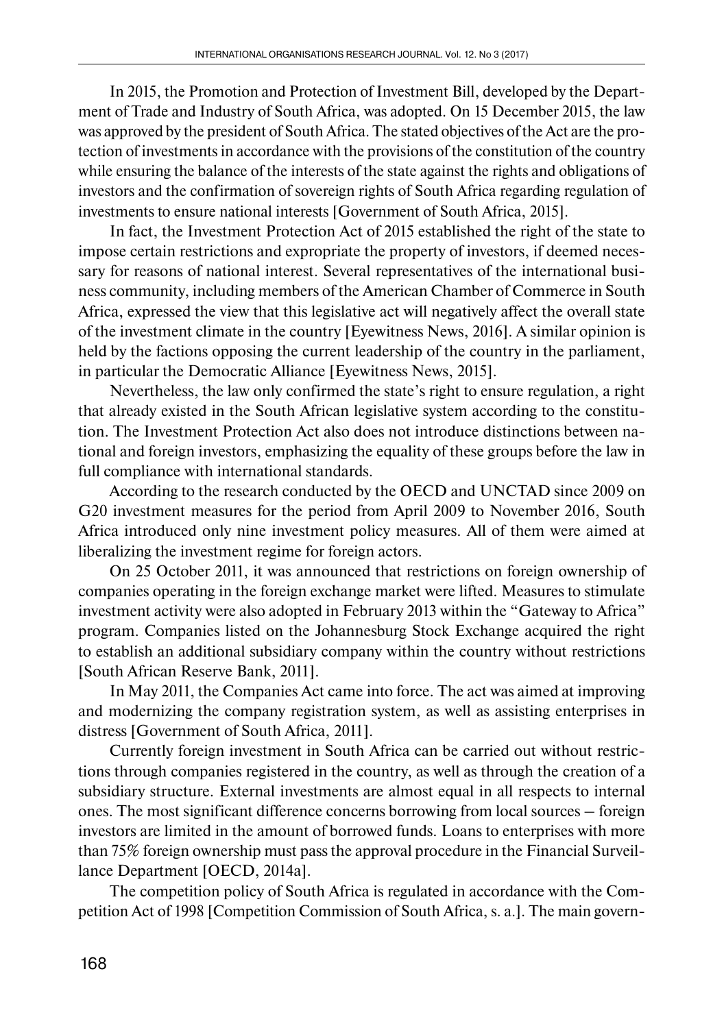In 2015, the Promotion and Protection of Investment Bill, developed by the Department of Trade and Industry of South Africa, was adopted. On 15 December 2015, the law was approved by the president of South Africa. The stated objectives of the Act are the protection of investments in accordance with the provisions of the constitution of the country while ensuring the balance of the interests of the state against the rights and obligations of investors and the confirmation of sovereign rights of South Africa regarding regulation of investments to ensure national interests [Government of South Africa, 2015].

In fact, the Investment Protection Act of 2015 established the right of the state to impose certain restrictions and expropriate the property of investors, if deemed necessary for reasons of national interest. Several representatives of the international business community, including members of the American Chamber of Commerce in South Africa, expressed the view that this legislative act will negatively affect the overall state of the investment climate in the country [Eyewitness News, 2016]. A similar opinion is held by the factions opposing the current leadership of the country in the parliament, in particular the Democratic Alliance [Eyewitness News, 2015].

Nevertheless, the law only confirmed the state's right to ensure regulation, a right that already existed in the South African legislative system according to the constitution. The Investment Protection Act also does not introduce distinctions between national and foreign investors, emphasizing the equality of these groups before the law in full compliance with international standards.

According to the research conducted by the OECD and UNCTAD since 2009 on G20 investment measures for the period from April 2009 to November 2016, South Africa introduced only nine investment policy measures. All of them were aimed at liberalizing the investment regime for foreign actors.

On 25 October 2011, it was announced that restrictions on foreign ownership of companies operating in the foreign exchange market were lifted. Measures to stimulate investment activity were also adopted in February 2013 within the "Gateway to Africa" program. Companies listed on the Johannesburg Stock Exchange acquired the right to establish an additional subsidiary company within the country without restrictions [South African Reserve Bank, 2011].

In May 2011, the Companies Act came into force. The act was aimed at improving and modernizing the company registration system, as well as assisting enterprises in distress [Government of South Africa, 2011].

Currently foreign investment in South Africa can be carried out without restrictions through companies registered in the country, as well as through the creation of a subsidiary structure. External investments are almost equal in all respects to internal ones. The most significant difference concerns borrowing from local sources – foreign investors are limited in the amount of borrowed funds. Loans to enterprises with more than 75% foreign ownership must pass the approval procedure in the Financial Surveillance Department [OECD, 2014a].

The competition policy of South Africa is regulated in accordance with the Competition Act of 1998 [Competition Commission of South Africa, s. a.]. The main govern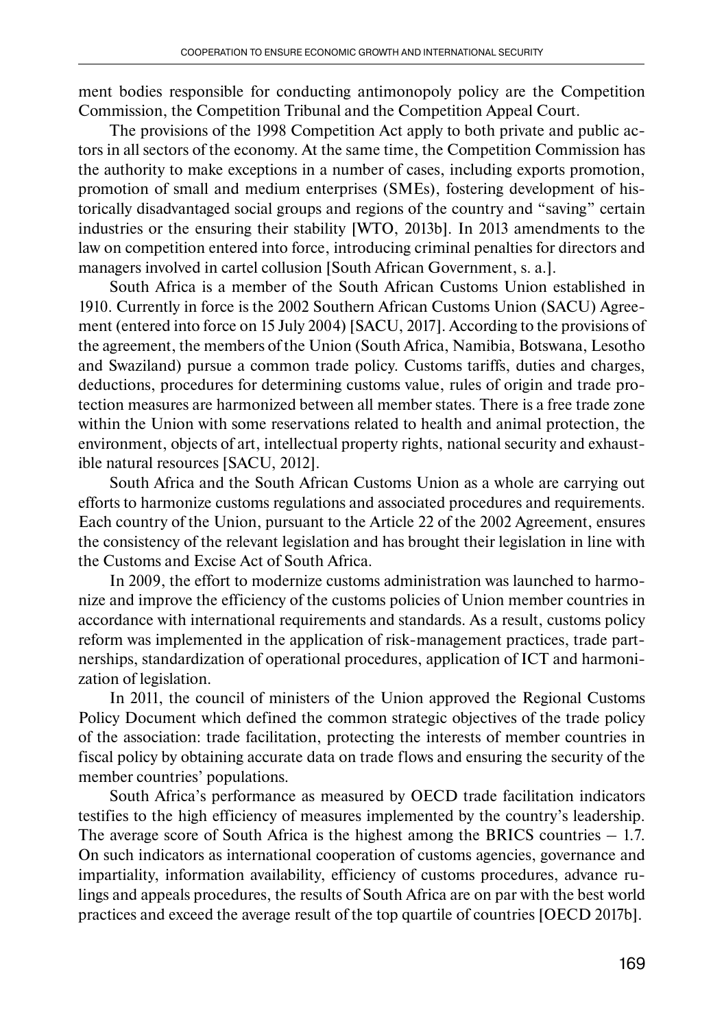ment bodies responsible for conducting antimonopoly policy are the Competition Commission, the Competition Tribunal and the Competition Appeal Court.

The provisions of the 1998 Competition Act apply to both private and public actors in all sectors of the economy. At the same time, the Competition Commission has the authority to make exceptions in a number of cases, including exports promotion, promotion of small and medium enterprises (SMEs), fostering development of historically disadvantaged social groups and regions of the country and "saving" certain industries or the ensuring their stability [WTO, 2013b]. In 2013 amendments to the law on competition entered into force, introducing criminal penalties for directors and managers involved in cartel collusion [South African Government, s. a.].

South Africa is a member of the South African Customs Union established in 1910. Currently in force is the 2002 Southern African Customs Union (SACU) Agreement (entered into force on 15 July 2004) [SACU, 2017]. According to the provisions of the agreement, the members of the Union (South Africa, Namibia, Botswana, Lesotho and Swaziland) pursue a common trade policy. Customs tariffs, duties and charges, deductions, procedures for determining customs value, rules of origin and trade protection measures are harmonized between all member states. There is a free trade zone within the Union with some reservations related to health and animal protection, the environment, objects of art, intellectual property rights, national security and exhaustible natural resources [SACU, 2012].

South Africa and the South African Customs Union as a whole are carrying out efforts to harmonize customs regulations and associated procedures and requirements. Each country of the Union, pursuant to the Article 22 of the 2002 Agreement, ensures the consistency of the relevant legislation and has brought their legislation in line with the Customs and Excise Act of South Africa.

In 2009, the effort to modernize customs administration was launched to harmonize and improve the efficiency of the customs policies of Union member countries in accordance with international requirements and standards. As a result, customs policy reform was implemented in the application of risk-management practices, trade partnerships, standardization of operational procedures, application of ICT and harmonization of legislation.

In 2011, the council of ministers of the Union approved the Regional Customs Policy Document which defined the common strategic objectives of the trade policy of the association: trade facilitation, protecting the interests of member countries in fiscal policy by obtaining accurate data on trade flows and ensuring the security of the member countries' populations.

South Africa's performance as measured by OECD trade facilitation indicators testifies to the high efficiency of measures implemented by the country's leadership. The average score of South Africa is the highest among the BRICS countries  $-1.7$ . On such indicators as international cooperation of customs agencies, governance and impartiality, information availability, efficiency of customs procedures, advance rulings and appeals procedures, the results of South Africa are on par with the best world practices and exceed the average result of the top quartile of countries [OECD 2017b].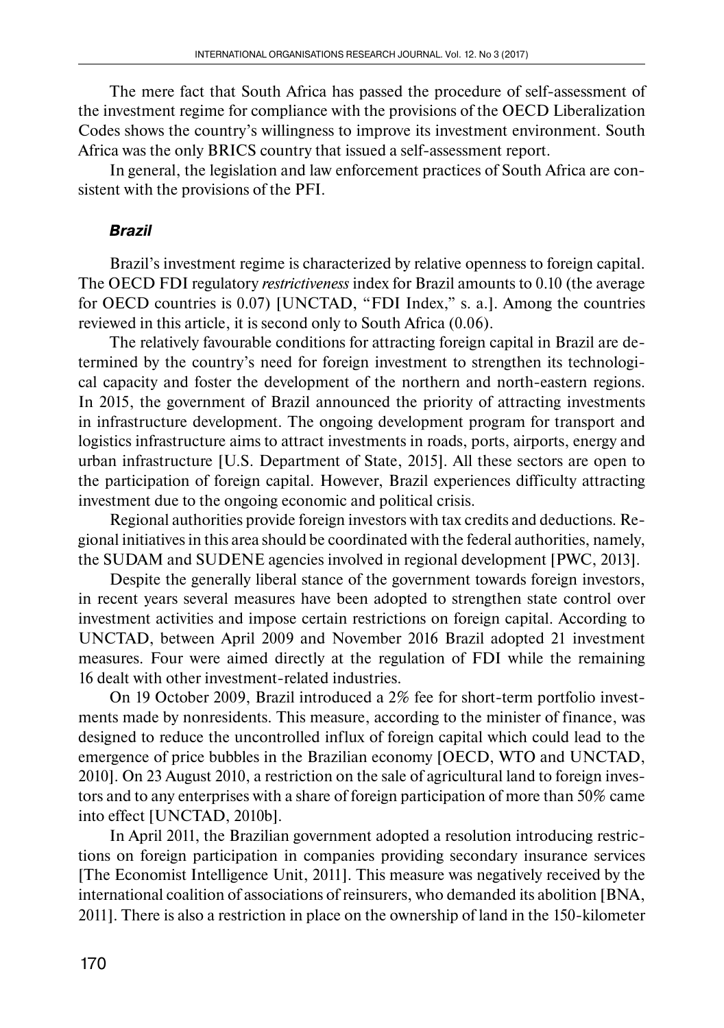The mere fact that South Africa has passed the procedure of self-assessment of the investment regime for compliance with the provisions of the OECD Liberalization Codes shows the country's willingness to improve its investment environment. South Africa was the only BRICS country that issued a self-assessment report.

In general, the legislation and law enforcement practices of South Africa are consistent with the provisions of the PFI.

## *Brazil*

Brazil's investment regime is characterized by relative openness to foreign capital. The OECD FDI regulatory *restrictiveness* index for Brazil amounts to 0.10 (the average for OECD countries is 0.07) [UNCTAD, "FDI Index," s. a.]. Among the countries reviewed in this article, it is second only to South Africa (0.06).

The relatively favourable conditions for attracting foreign capital in Brazil are determined by the country's need for foreign investment to strengthen its technological capacity and foster the development of the northern and north-eastern regions. In 2015, the government of Brazil announced the priority of attracting investments in infrastructure development. The ongoing development program for transport and logistics infrastructure aims to attract investments in roads, ports, airports, energy and urban infrastructure [U.S. Department of State, 2015]. All these sectors are open to the participation of foreign capital. However, Brazil experiences difficulty attracting investment due to the ongoing economic and political crisis.

Regional authorities provide foreign investors with tax credits and deductions. Regional initiatives in this area should be coordinated with the federal authorities, namely, the SUDAM and SUDENE agencies involved in regional development [PWC, 2013].

Despite the generally liberal stance of the government towards foreign investors, in recent years several measures have been adopted to strengthen state control over investment activities and impose certain restrictions on foreign capital. According to UNCTAD, between April 2009 and November 2016 Brazil adopted 21 investment measures. Four were aimed directly at the regulation of FDI while the remaining 16 dealt with other investment-related industries.

On 19 October 2009, Brazil introduced a 2% fee for short-term portfolio investments made by nonresidents. This measure, according to the minister of finance, was designed to reduce the uncontrolled influx of foreign capital which could lead to the emergence of price bubbles in the Brazilian economy [OECD, WTO and UNCTAD, 2010]. On 23 August 2010, a restriction on the sale of agricultural land to foreign investors and to any enterprises with a share of foreign participation of more than 50% came into effect [UNCTAD, 2010b].

In April 2011, the Brazilian government adopted a resolution introducing restrictions on foreign participation in companies providing secondary insurance services [The Economist Intelligence Unit, 2011]. This measure was negatively received by the international coalition of associations of reinsurers, who demanded its abolition [BNA, 2011]. There is also a restriction in place on the ownership of land in the 150-kilometer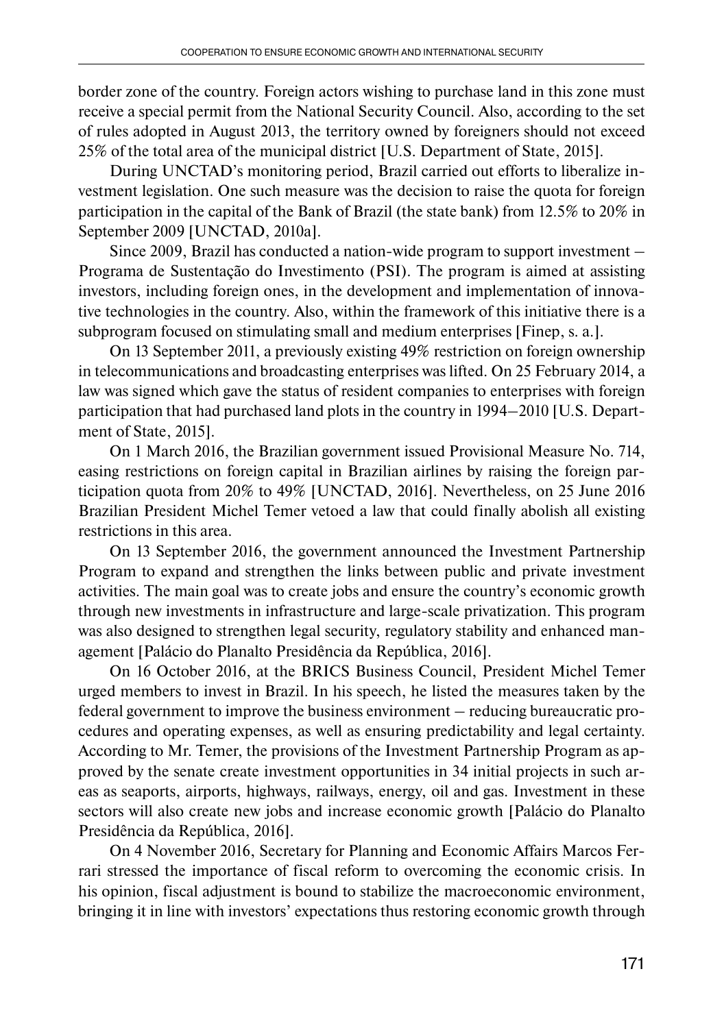border zone of the country. Foreign actors wishing to purchase land in this zone must receive a special permit from the National Security Council. Also, according to the set of rules adopted in August 2013, the territory owned by foreigners should not exceed 25% of the total area of the municipal district [U.S. Department of State, 2015].

During UNCTAD's monitoring period, Brazil carried out efforts to liberalize investment legislation. One such measure was the decision to raise the quota for foreign participation in the capital of the Bank of Brazil (the state bank) from 12.5% to 20% in September 2009 [UNCTAD, 2010a].

Since 2009, Brazil has conducted a nation-wide program to support investment – Programa de Sustentação do Investimento (PSI). The program is aimed at assisting investors, including foreign ones, in the development and implementation of innovative technologies in the country. Also, within the framework of this initiative there is a subprogram focused on stimulating small and medium enterprises [Finep, s. a.].

On 13 September 2011, a previously existing 49% restriction on foreign ownership in telecommunications and broadcasting enterprises was lifted. On 25 February 2014, a law was signed which gave the status of resident companies to enterprises with foreign participation that had purchased land plots in the country in 1994–2010 [U.S. Department of State, 2015].

On 1 March 2016, the Brazilian government issued Provisional Measure No. 714, easing restrictions on foreign capital in Brazilian airlines by raising the foreign participation quota from 20% to 49% [UNCTAD, 2016]. Nevertheless, on 25 June 2016 Brazilian President Michel Temer vetoed a law that could finally abolish all existing restrictions in this area.

On 13 September 2016, the government announced the Investment Partnership Program to expand and strengthen the links between public and private investment activities. The main goal was to create jobs and ensure the country's economic growth through new investments in infrastructure and large-scale privatization. This program was also designed to strengthen legal security, regulatory stability and enhanced management [Palácio do Planalto Presidência da República, 2016].

On 16 October 2016, at the BRICS Business Council, President Michel Temer urged members to invest in Brazil. In his speech, he listed the measures taken by the federal government to improve the business environment – reducing bureaucratic procedures and operating expenses, a s well as ensuring predictability and legal certainty. According to Mr. Temer, the provisions of the Investment Partnership Program as approved by the senate create investment opportunities in 34 initial projects in such areas as seaports, airports, highways, railways, energy, oil and gas. Investment in these sectors will also create new jobs and increase economic growth [Palácio do Planalto Presidência da República, 2016].

On 4 November 2016, Secretary for Planning and Economic Affairs Marcos Ferrari stressed the importance of fiscal reform to overcoming the economic crisis. In his opinion, fiscal adjustment is bound to stabilize the macroeconomic environment, bringing it in line with investors' expectations thus restoring economic growth through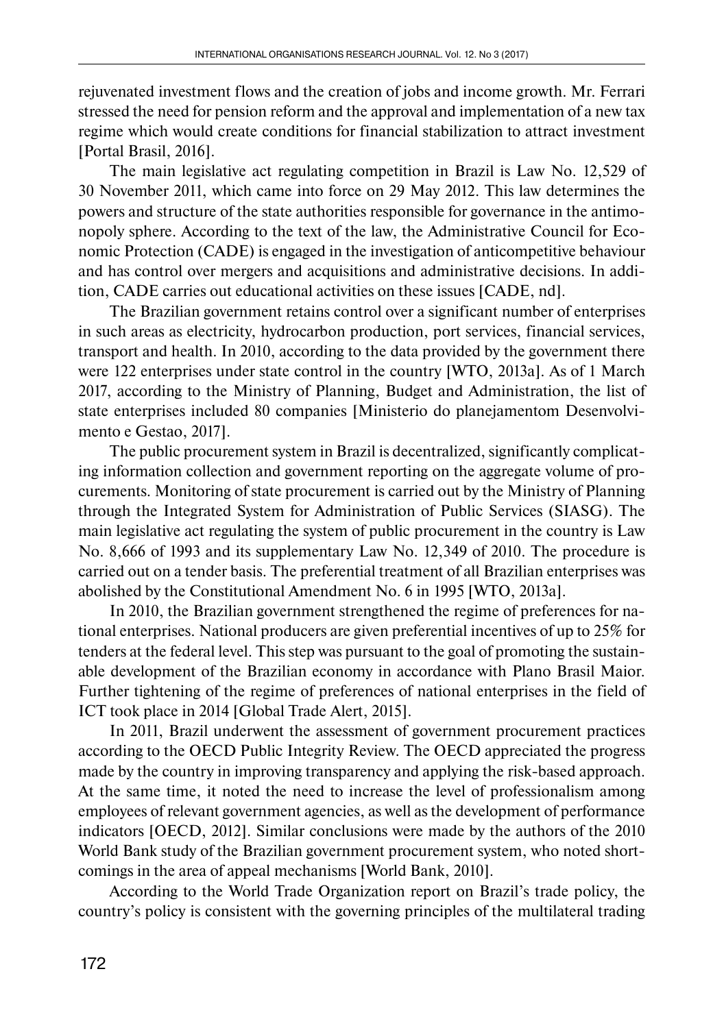rejuvenated investment flows and the creation of jobs and income growth. Mr. Ferrari stressed the need for pension reform and the approval and implementation of a new tax regime which would create conditions for financial stabilization to attract investment [Portal Brasil, 2016].

The main legislative act regulating competition in Brazil is Law No. 12,529 of 30 November 2011, which came into force on 29 May 2012. This law determines the powers and structure of the state authorities responsible for governance in the antimonopoly sphere. According to the text of the law, the Administrative Council for Economic Protection (CADE) is engaged in the investigation of anticompetitive behaviour and has control over mergers and acquisitions and administrative decisions. In addition, CADE carries out educational activities on these issues [CADE, nd].

The Brazilian government retains control over a significant number of enterprises in such areas as electricity, hydrocarbon production, port services, financial services, transport and health. In 2010, according to the data provided by the government there were 122 enterprises under state control in the country [WTO, 2013a]. As of 1 March 2017, according to the Ministry of Planning, Budget and Administration, the list of state enterprises included 80 companies [Ministerio do planejamentom Desenvolvimento e Gestao, 2017].

The public procurement system in Brazil is decentralized, significantly complicating information collection and government reporting on the aggregate volume of procurements. Monitoring of state procurement is carried out by the Ministry of Planning through the Integrated System for Administration of Public Services (SIASG). The main legislative act regulating the system of public procurement in the country is Law No. 8,666 of 1993 and its supplementary Law No. 12,349 of 2010. The procedure is carried out on a tender basis. The preferential treatment of all Brazilian enterprises was abolished by the Constitutional Amendment No. 6 in 1995 [WTO, 2013a].

In 2010, the Brazilian government strengthened the regime of preferences for national enterprises. National producers are given preferential incentives of up to 25% for tenders at the federal level. This step was pursuant to the goal of promoting the sustainable development of the Brazilian economy in accordance with Plano Brasil Maior. Further tightening of the regime of preferences of national enterprises in the field of ICT took place in 2014 [Global Trade Alert, 2015].

In 2011, Brazil underwent the assessment of government procurement practices according to the OECD Public Integrity Review. The OECD appreciated the progress made by the country in improving transparency and applying the risk-based approach. At the same time, it noted the need to increase the level of professionalism among employees of relevant government agencies, as well as the development of performance indicators [OECD, 2012]. Similar conclusions were made by the authors of the 2010 World Bank study of the Brazilian government procurement system, who noted shortcomings in the area of appeal mechanisms [World Bank, 2010].

According to the World Trade Organization report on Brazil's trade policy, the country's policy is consistent with the governing principles of the multilateral trading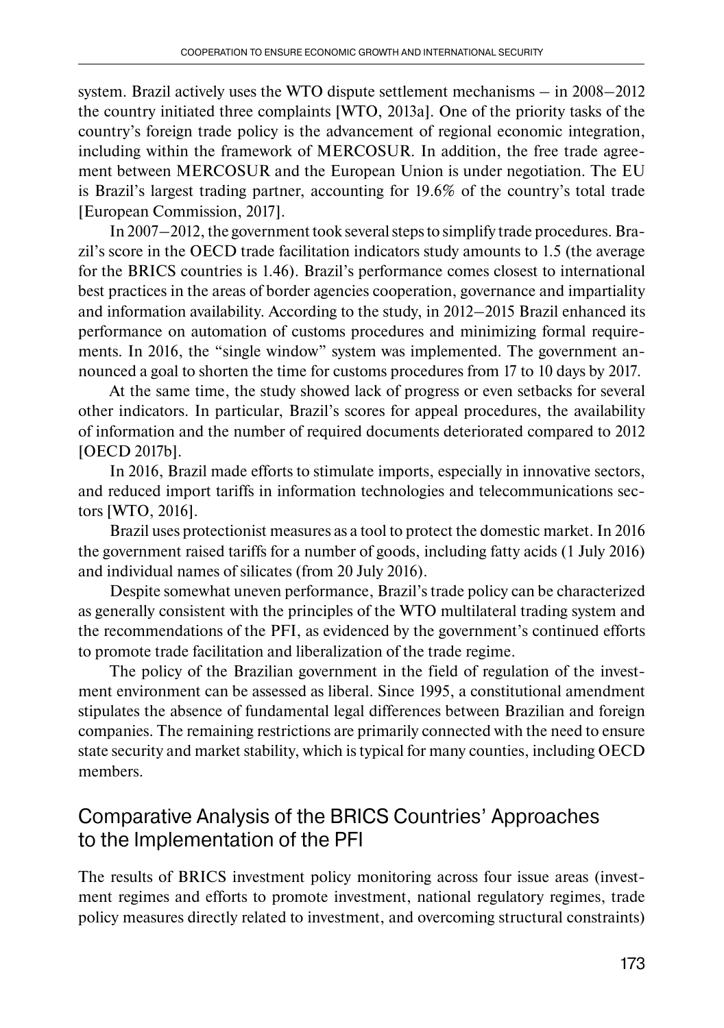system. Brazil actively uses the WTO dispute settlement mechanisms – in 2008–2012 the country initiated three complaints [WTO, 2013a]. One of the priority tasks of the country's foreign trade policy is the advancement of regional economic integration, including within the framework of MERCOSUR. In addition, the free trade agreement between MERCOSUR and the European Union is under negotiation. The EU is Brazil's largest trading partner, accounting for 19.6% of the country's total trade [European Commission, 2017].

In 2007–2012, the government took several steps to simplify trade procedures. Brazil's score in the OECD trade facilitation indicators study amounts to 1.5 (the average for the BRICS countries is 1.46). Brazil's performance comes closest to international best practices in the areas of border agencies cooperation, governance and impartiality and information availability. According to the study, in 2012–2015 Brazil enhanced its performance on automation of customs procedures and minimizing formal requirements. In 2016, the "single window" system was implemented. The government announced a goal to shorten the time for customs procedures from 17 to 10 days by 2017.

At the same time, the study showed lack of progress or even setbacks for several other indicators. In particular, Brazil's scores for appeal procedures, the availability of information and the number of required documents deteriorated compared to 2012 [OECD 2017b].

In 2016, Brazil made efforts to stimulate imports, especially in innovative sectors, and reduced import tariffs in information technologies and telecommunications sectors [WTO, 2016].

Brazil uses protectionist measures as a tool to protect the domestic market. In 2016 the government raised tariffs for a number of goods, including fatty acids (1 July 2016) and individual names of silicates (from 20 July 2016).

Despite somewhat uneven performance, Brazil's trade policy can be characterized as generally consistent with the principles of the WTO multilateral trading system and the recommendations of the PFI, as evidenced by the government's continued efforts to promote trade facilitation and liberalization of the trade regime.

The policy of the Brazilian government in the field of regulation of the investment environment can be assessed as liberal. Since 1995, a constitutional amendment stipulates the absence of fundamental legal differences between Brazilian and foreign companies. The remaining restrictions are primarily connected with the need to ensure state security and market stability, which is typical for many counties, including OECD members.

## Comparative Analysis of the BRICS Countries' Approaches to the Implementation of the PFI

The results of BRICS investment policy monitoring across four issue areas (investment regimes and efforts to promote investment, national regulatory regimes, trade policy measures directly related to investment, and overcoming structural constraints)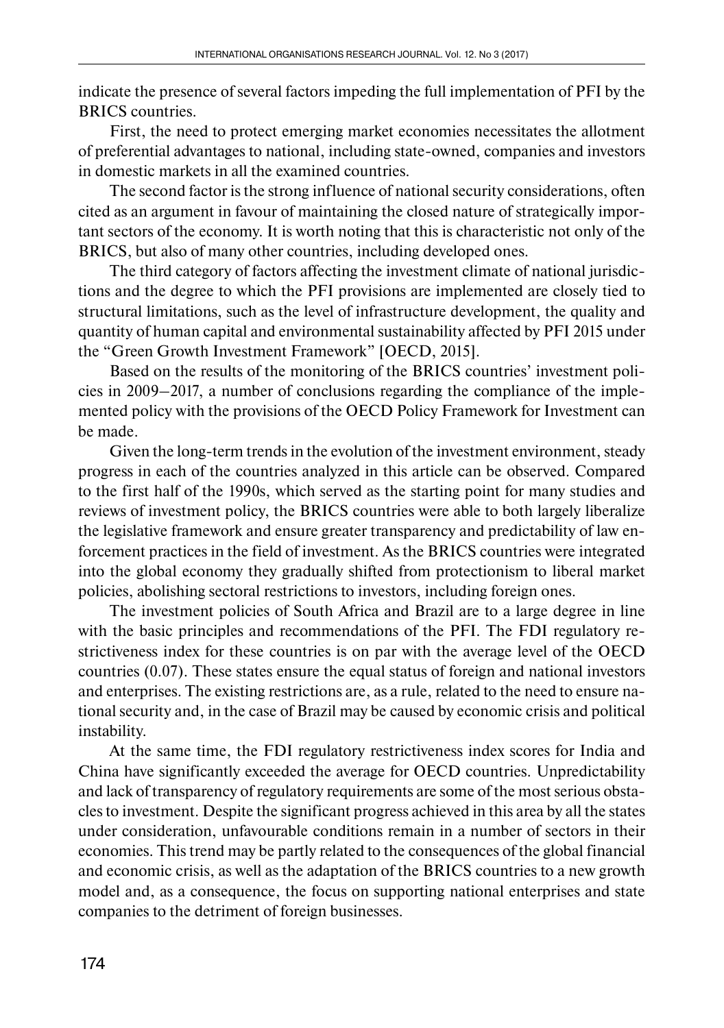indicate the presence of several factors impeding the full implementation of PFI by the BRICS countries.

First, the need to protect emerging market economies necessitates the allotment of preferential advantages to national, including state-owned, companies and investors in domestic markets in all the examined countries.

The second factor is the strong influence of national security considerations, often cited as an argument in favour of maintaining the closed nature of strategically important sectors of the economy. It is worth noting that this is characteristic not only of the BRICS, but also of many other countries, including developed ones.

The third category of factors affecting the investment climate of national jurisdictions and the degree to which the PFI provisions are implemented are closely tied to structural limitations, such as the level of infrastructure development, the quality and quantity of human capital and environmental sustainability affected by PFI 2015 under the "Green Growth Investment Framework" [OECD, 2015].

Based on the results of the monitoring of the BRICS countries' investment policies in 2009–2017, a number of conclusions regarding the compliance of the implemented policy with the provisions of the OECD Policy Framework for Investment can be made.

Given the long-term trends in the evolution of the investment environment, steady progress in each of the countries analyzed in this article can be observed. Compared to the first half of the 1990s, which served as the starting point for many studies and reviews of investment policy, the BRICS countries were able to both largely liberalize the legislative framework and ensure greater transparency and predictability of law enforcement practices in the field of investment. As the BRICS countries were integrated into the global economy they gradually shifted from protectionism to liberal market policies, abolishing sectoral restrictions to investors, including foreign ones.

The investment policies of South Africa and Brazil are to a large degree in line with the basic principles and recommendations of the PFI. The FDI regulatory restrictiveness index for these countries is on par with the average level of the OECD countries (0.07). These states ensure the equal status of foreign and national investors and enterprises. The existing restrictions are, as a rule, related to the need to ensure national security and, in the case of Brazil may be caused by economic crisis and political instability.

At the same time, the FDI regulatory restrictiveness index scores for India and China have significantly exceeded the average for OECD countries. Unpredictability and lack of transparency of regulatory requirements are some of the most serious obstacles to investment. Despite the significant progress achieved in this area by all the states under consideration, unfavourable conditions remain in a number of sectors in their economies. This trend may be partly related to the consequences of the global financial and economic crisis, as well as the adaptation of the BRICS countries to a new growth model and, as a consequence, the focus on supporting national enterprises and state companies to the detriment of foreign businesses.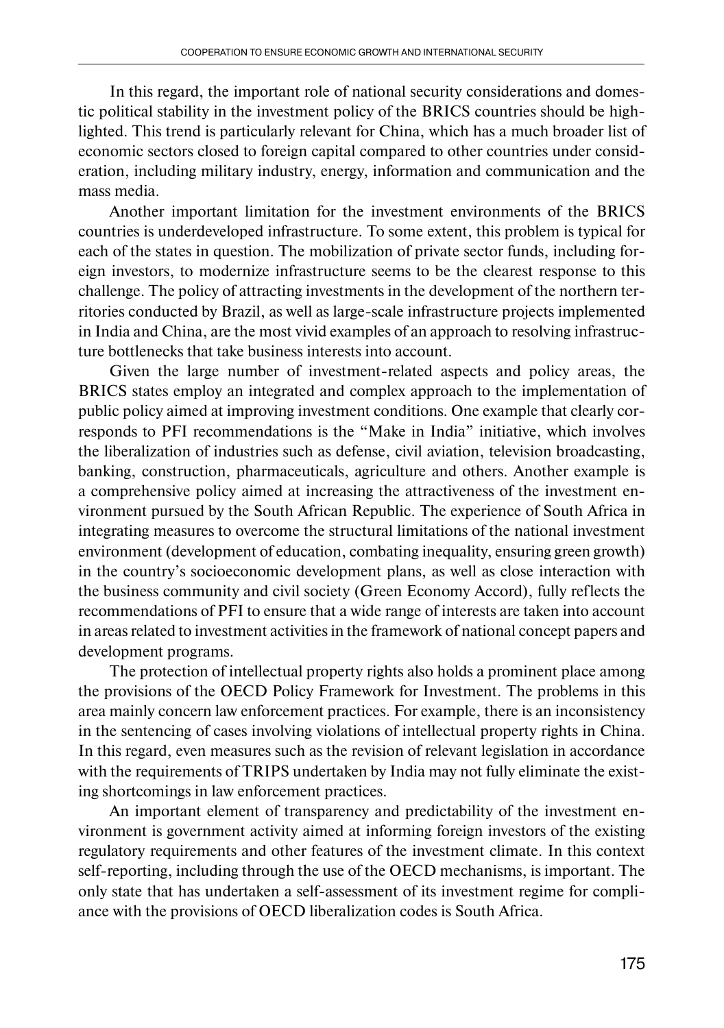In this regard, the important role of national security considerations and domestic political stability in the investment policy of the BRICS countries should be highlighted. This trend is particularly relevant for China, which has a much broader list of economic sectors closed to foreign capital compared to other countries under consideration, including military industry, energy, information and communication and the mass media.

Another important limitation for the investment environments of the BRICS countries is underdeveloped infrastructure. To some extent, this problem is typical for each of the states in question. The mobilization of private sector funds, including foreign investors, to modernize infrastructure seems to be the clearest response to this challenge. The policy of attracting investments in the development of the northern territories conducted by Brazil, as well as large-scale infrastructure projects implemented in India and China, are the most vivid examples of an approach to resolving infrastructure bottlenecks that take business interests into account.

Given the large number of investment-related aspects and policy areas, the BRICS states employ an integrated and complex approach to the implementation of public policy aimed at improving investment conditions. One example that clearly corresponds to PFI recommendations is the "Make in India" initiative, which involves the liberalization of industries such as defense, civil aviation, television broadcasting, banking, construction, pharmaceuticals, agriculture and others. Another example is a comprehensive policy aimed at increasing the attractiveness of the investment environment pursued by the South African Republic. The experience of South Africa in integrating measures to overcome the structural limitations of the national investment environment (development of education, combating inequality, ensuring green growth) in the country's socioeconomic development plans, as well as close interaction with the business community and civil society (Green Economy Accord), fully reflects the recommendations of PFI to ensure that a wide range of interests are taken into account in areas related to investment activities in the framework of national concept papers and development programs.

The protection of intellectual property rights also holds a prominent place among the provisions of the OECD Policy Framework for Investment. The problems in this area mainly concern law enforcement practices. For example, there is an inconsistency in the sentencing of cases involving violations of intellectual property rights in China. In this regard, even measures such as the revision of relevant legislation in accordance with the requirements of TRIPS undertaken by India may not fully eliminate the existing shortcomings in law enforcement practices.

An important element of transparency and predictability of the investment environment is government activity aimed at informing foreign investors of the existing regulatory requirements and other features of the investment climate. In this context self-reporting, including through the use of the OECD mechanisms, is important. The only state that has undertaken a self-assessment of its investment regime for compliance with the provisions of OECD liberalization codes is South Africa.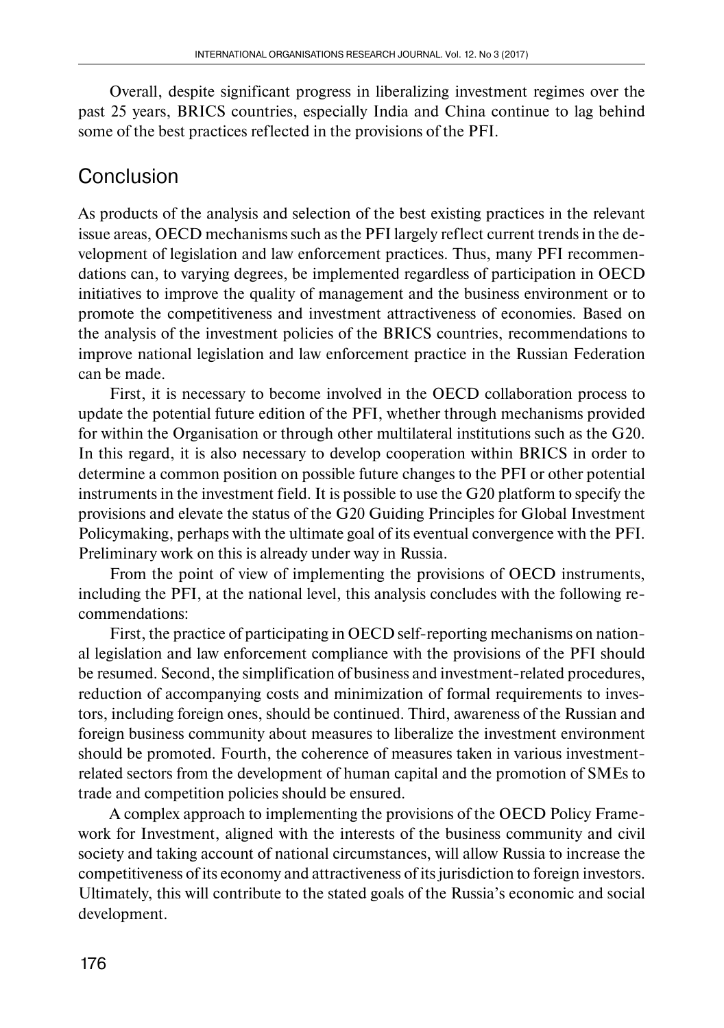Overall, despite significant progress in liberalizing investment regimes over the past 25 years, BRICS countries, especially India and China continue to lag behind some of the best practices reflected in the provisions of the PFI.

## **Conclusion**

As products of the analysis and selection of the best existing practices in the relevant issue areas, OECD mechanisms such as the PFI largely reflect current trends in the development of legislation and law enforcement practices. Thus, many PFI recommendations can, to varying degrees, be implemented regardless of participation in OECD initiatives to improve the quality of management and the business environment or to promote the competitiveness and investment attractiveness of economies. Based on the analysis of the investment policies of the BRICS countries, recommendations to improve national legislation and law enforcement practice in the Russian Federation can be made.

First, it is necessary to become involved in the OECD collaboration process to update the potential future edition of the PFI, whether through mechanisms provided for within the Organisation or through other multilateral institutions such as the G20. In this regard, it is also necessary to develop cooperation within BRICS in order to determine a common position on possible future changes to the PFI or other potential instruments in the investment field. It is possible to use the G20 platform to specify the provisions and elevate the status of the G20 Guiding Principles for Global Investment Policymaking, perhaps with the ultimate goal of its eventual convergence with the PFI. Preliminary work on this is already under way in Russia.

From the point of view of implementing the provisions of OECD instruments, including the PFI, at the national level, this analysis concludes with the following recommendations:

First, the practice of participating in OECD self-reporting mechanisms on national legislation and law enforcement compliance with the provisions of the PFI should be resumed. Second, the simplification of business and investment-related procedures, reduction of accompanying costs and minimization of formal requirements to investors, including foreign ones, should be continued. Third, awareness of the Russian and foreign business community about measures to liberalize the investment environment should be promoted. Fourth, the coherence of measures taken in various investmentrelated sectors from the development of human capital and the promotion of SMEs to trade and competition policies should be ensured.

A complex approach to implementing the provisions of the OECD Policy Framework for Investment, aligned with the interests of the business community and civil society and taking account of national circumstances, will allow Russia to increase the competitiveness of its economy and attractiveness of its jurisdiction to foreign investors. Ultimately, this will contribute to the stated goals of the Russia's economic and social development.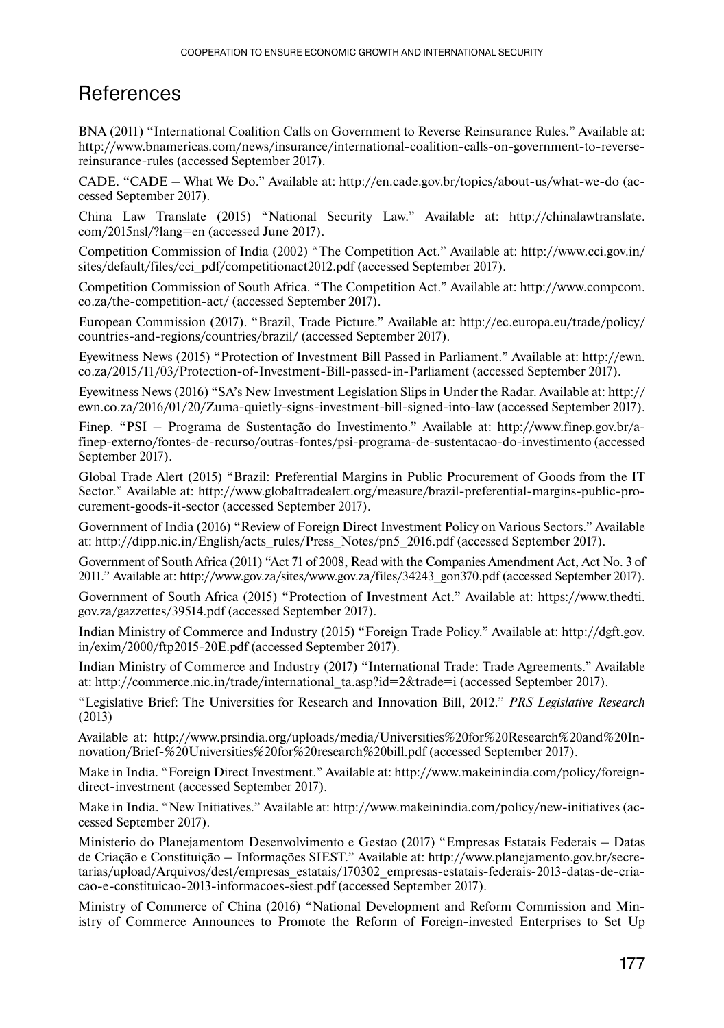## **References**

BNA (2011) "International Coalition Calls on Government to Reverse Reinsurance Rules." Available at: http://www.bnamericas.com/news/insurance/international-coalition-calls-on-government-to-reversereinsurance-rules (accessed September 2017).

CADE. "CADE – What We Do." Available at: http://en.cade.gov.br/topics/about-us/what-we-do (accessed September 2017).

China Law Translate (2015) "National Security Law." Available at: http://chinalawtranslate. com/2015nsl/?lang=en (accessed June 2017).

Competition Commission of India (2002) "The Competition Act." Available at: http://www.cci.gov.in/ sites/default/files/cci\_pdf/competitionact2012.pdf (accessed September 2017).

Competition Commission of South Africa. "The Competition Act." Available at: http://www.compcom. co.za/the-competition-act/ (accessed September 2017).

European Commission (2017). "Brazil, Trade Picture." Available at: http://ec.europa.eu/trade/policy/ countries-and-regions/countries/brazil/ (accessed September 2017).

Eyewitness News (2015) "Protection of Investment Bill Passed in Parliament." Available at: http://ewn. co.za/2015/11/03/Protection-of-Investment-Bill-passed-in-Parliament (accessed September 2017).

Eyewitness News (2016) "SA's New Investment Legislation Slips in Under the Radar. Available at: http:// ewn.co.za/2016/01/20/Zuma-quietly-signs-investment-bill-signed-into-law (accessed September 2017).

Finep. "PSI – Programa de Sustentação do Investimento." Available at: http://www.finep.gov.br/afinep-externo/fontes-de-recurso/outras-fontes/psi-programa-de-sustentacao-do-investimento (acces sed September 2017).

Global Trade Alert (2015) "Brazil: Preferential Margins in Public Procurement of Goods from the IT Sector." Available at: http://www.globaltradealert.org/measure/brazil-preferential-margins-public-procurement-goods-it-sector (accessed September 2017).

Government of India (2016) "Review of Foreign Direct Investment Policy on Various Sectors." Available at: http://dipp.nic.in/English/acts\_rules/Press\_Notes/pn5\_2016.pdf (accessed September 2017).

Government of South Africa (2011) "Act 71 of 2008, Read with the Companies Amendment Act, Act No. 3 of 2011." Available at: http://www.gov.za/sites/www.gov.za/files/34243\_gon370.pdf (accessed September 2017).

Government of South Africa (2015) "Protection of Investment Act." Available at: https://www.thedti. gov.za/gazzettes/39514.pdf (accessed September 2017).

Indian Ministry of Commerce and Industry (2015) "Foreign Trade Policy." Available at: http://dgft.gov. in/exim/2000/ftp2015-20E.pdf (accessed September 2017).

Indian Ministry of Commerce and Industry (2017) "International Trade: Trade Agreements." Available at: http://commerce.nic.in/trade/international\_ta.asp?id=2&trade=i (accessed September 2017).

"Legislative Brief: The Universities for Research and Innovation Bill, 2012." *PRS Legislative Research* (2013)

Available at: http://www.prsindia.org/uploads/media/Universities%20for%20Research%20and%20Innovation/Brief-%20Universities%20for%20research%20bill.pdf (accessed September 2017).

Make in India. "Foreign Direct Investment." Available at: http://www.makeinindia.com/policy/foreigndirect-investment (accessed September 2017).

Make in India. "New Initiatives." Available at: http://www.makeinindia.com/policy/new-initiatives (accessed September 2017).

Ministerio do Planejamentom Desenvolvimento e Gestao (2017) "Empresas Estatais Federais – Datas de Criação e Constituição – Informações SIEST." Available at: http://www.planejamento.gov.br/secretarias/upload/Arquivos/dest/empresas\_estatais/170302\_empresas-estatais-federais-2013-datas-de-criacao-e-constituicao-2013-informacoes-siest.pdf (accessed September 2017).

Ministry of Commerce of China (2016) "National Development and Reform Commission and Ministry of Commerce Announces to Promote the Reform of Foreign-invested Enterprises to Set Up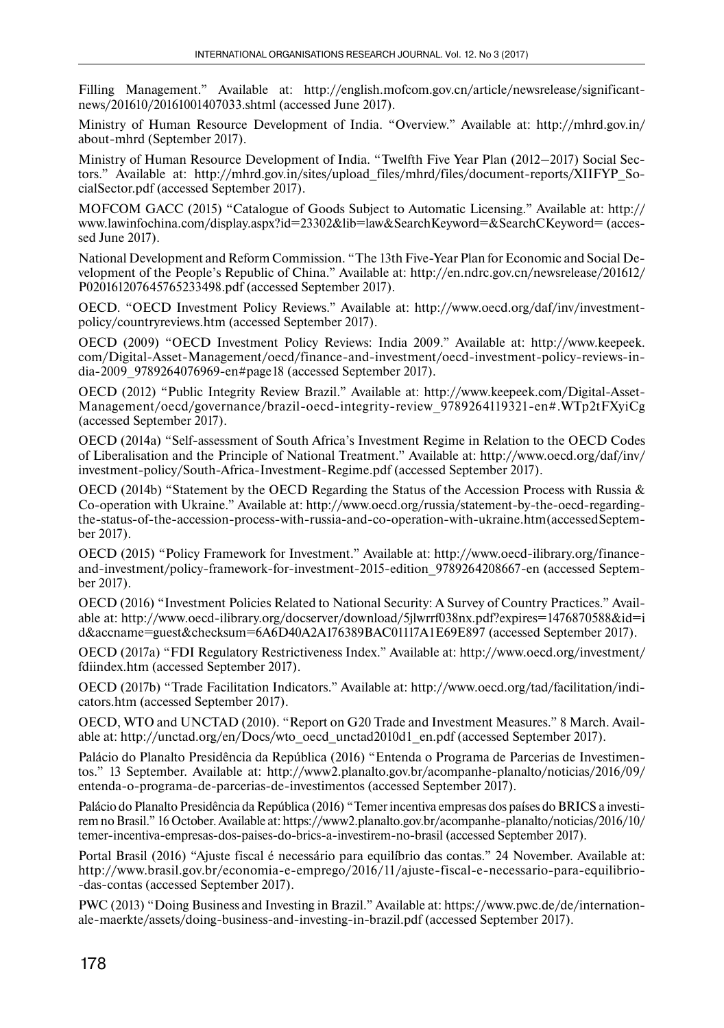Filling Management." Available at: http://english.mofcom.gov.cn/article/newsrelease/significantnews/201610/20161001407033.shtml (accessed June 2017).

Ministry of Human Resource Development of India. "Overview." Available at: http://mhrd.gov.in/ about-mhrd (September 2017).

Ministry of Human Resource Development of India. "Twelfth Five Year Plan (2012–2017) Social Sectors." Available at: http://mhrd.gov.in/sites/upload\_files/mhrd/files/document-reports/XIIFYP\_SocialSector.pdf (accessed September 2017).

MOFCOM GACC (2015) "Catalogue of Goods Subject to Automatic Licensing." Available at: http:// www.lawinfochina.com/display.aspx?id=23302&lib=law&SearchKeyword=&SearchCKeyword= (accessed June 2017).

National Development and Reform Commission. "The 13th Five-Year Plan for Economic and Social Development of the People's Republic of China." Available at: http://en.ndrc.gov.cn/newsrelease/201612/ P020161207645765233498.pdf (accessed September 2017).

OECD. "OECD Investment Policy Reviews." Available at: http://www.oecd.org/daf/inv/investmentpolicy/countryreviews.htm (accessed September 2017).

OECD (2009) "OECD Investment Policy Reviews: India 2009." Available at: http://www.keepeek. com/Digital-Asset-Management/oecd/finance-and-investment/oecd-investment-policy-reviews-india-2009\_9789264076969-en#page18 (accessed September 2017).

OECD (2012) "Public Integrity Review Brazil." Available at: http://www.keepeek.com/Digital-Asset-Management/oecd/governance/brazil-oecd-integrity-review\_9789264119321-en#.WTp2tFXyiCg (acces sed September 2017).

OECD (2014a) "Self-assessment of South Africa's Investment Regime in Relation to the OECD Codes of Liberalisation and the Principle of National Treatment." Available at: http://www.oecd.org/daf/inv/ investment-policy/South-Africa-Investment-Regime.pdf (accessed September 2017).

OECD (2014b) "Statement by the OECD Regarding the Status of the Accession Process with Russia & Co-o peration with Ukraine." Available at: http://www.oecd.org/russia/statement-by-the-oecd-regardingthe-status-of-the-accession-process-with-russia-and-co-operation-with-ukraine.htm (accessed September 2017).

OECD (2015) "Policy Framework for Investment." Available at: http://www.oecd-ilibrary.org/financeand-investment/policy-framework-for-investment-2015-edition\_9789264208667-en (accessed September 2017).

OECD (2016) "Investment Policies Related to National Security: A Survey of Country Practices." Available at: http://www.oecd-ilibrary.org/docserver/download/5jlwrrf038nx.pdf?expires=1476870588&id=i d&accname=guest&checksum=6A6D40A2A176389BAC01117A1E69E897 (accessed September 2017).

OECD (2017a) "FDI Regulatory Restrictiveness Index." Available at: http://www.oecd.org/investment/ fdiindex.htm (accessed September 2017).

OECD (2017b) "Trade Facilitation Indicators." Available at: http://www.oecd.org/tad/facilitation/indicators.htm (accessed September 2017).

OECD, WTO and UNCTAD (2010). "Report on G20 Trade and Investment Measures." 8 March. Available at: http://unctad.org/en/Docs/wto\_oecd\_unctad2010d1\_en.pdf (accessed September 2017).

Palácio do Planalto Presidência da República (2016) "Entenda o Programa de Parcerias de Investimentos." 13 September. Available at: http://www2.planalto.gov.br/acompanhe-planalto/noticias/2016/09/ entenda-o-programa-de-parcerias-de-investimentos (accessed September 2017).

Palácio do Planalto Presidência da República (2016) "Temer incentiva empresas dos países do BRICS a investirem no Brasil." 16 October. Available at: https://www2.planalto.gov.br/acompanhe-planalto/noticias/2016/10/ temer-incentiva-empresas-dos-paises-do-brics-a-investirem-no-brasil (accessed September 2017).

Portal Brasil (2016) "Ajuste fiscal é necessário para equilíbrio das contas." 24 November. Available at: http://www.brasil.gov.br/economia-e-emprego/2016/11/ajuste-fiscal-e-necessario-para-equilibrio- -das-contas (accessed September 2017).

PWC (2013) "Doing Business and Investing in Brazil." Available at: https://www.pwc.de/de/internationale-maerkte/assets/doing-business-and-investing-in-brazil.pdf (accessed September 2017).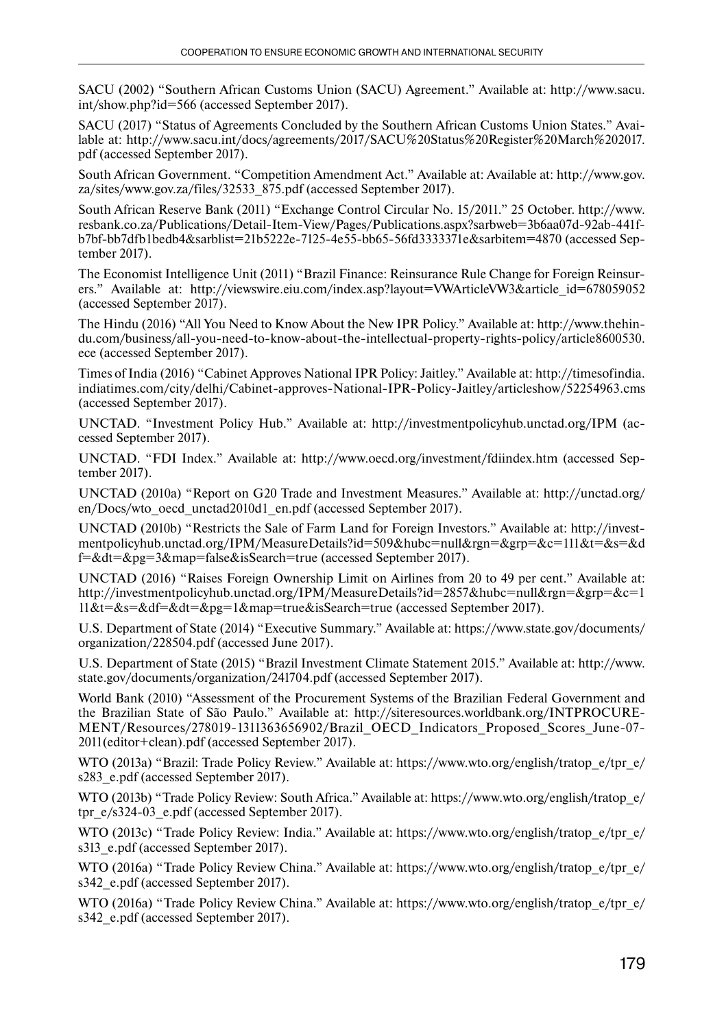SACU (2002) "Southern African Customs Union (SACU) Agreement." Available at: http://www.sacu. int/show.php?id=566 (accessed September 2017).

SACU (2017) "Status of Agreements Concluded by the Southern African Customs Union States." Available at: http://www.sacu.int/docs/agreements/2017/SACU%20Status%20Register%20March%202017. pdf (accessed September 2017).

South African Government. "Competition Amendment Act." Available at: Available at: http://www.gov. za/sites/www.gov.za/files/32533\_875.pdf (accessed September 2017).

South African Reserve Bank (2011) "Exchange Control Circular No. 15/2011." 25 October. http://www. resbank.co.za/Publications/Detail-Item-View/Pages/Publications.aspx?sarbweb=3b6aa07d-92ab-441fb7bf-bb7dfb1bedb4&sarblist=21b5222e-7125-4e55-bb65-56fd3333371e&sarbitem=4870 (accessed September 2017).

The Economist Intelligence Unit (2011) "Brazil Finance: Reinsurance Rule Change for Foreign Reinsurers." Available at: http://viewswire.eiu.com/index.asp?layout=VWArticleVW3&article id=678059052 (accessed September 2017).

The Hindu (2016) "All You Need to Know About the New IPR Policy." Available at: http://www.thehindu.com/business/all-you-need-to-know-about-the-intellectual-property-rights-policy/article8600530. ece (accessed September 2017).

Times of India (2016) "Cabinet Approves National IPR Policy: Jaitley." Available at: http://timesofindia. indiatimes.com/city/delhi/Cabinet-approves-National-IPR-Policy-Jaitley/articleshow/52254963.cms (accessed September 2017).

UNCTAD. "Investment Policy Hub." Available at: http://investmentpolicyhub.unctad.org/IPM (accessed September 2017).

UNCTAD. "FDI Index." Available at: http://www.oecd.org/investment/fdiindex.htm (accessed September 2017).

UNCTAD (2010a) "Report on G20 Trade and Investment Measures." Available at: http://unctad.org/ en/Docs/wto\_oecd\_unctad2010d1\_en.pdf (accessed September 2017).

UNCTAD (2010b) "Restricts the Sale of Farm Land for Foreign Investors." Available at: http://investmentpolicyhub.unctad.org/IPM/MeasureDetails?id=509&hubc=null&rgn=&grp=&c=111&t=&s=&d f=&dt=&pg=3&map=false&isSearch=true (accessed September 2017).

UNCTAD (2016) "Raises Foreign Ownership Limit on Airlines from 20 to 49 per cent." Available at: http://investmentpolicyhub.unctad.org/IPM/MeasureDetails?id=2857&hubc=null&rgn=&grp=&c=1 11&t=&s=&df=&dt=&pg=1&map=true&isSearch=true (accessed September 2017).

U.S. Department of State (2014) "Executive Summary." Available at: https://www.state.gov/documents/ organization/228504.pdf (accessed June 2017).

U.S. Department of State (2015) "Brazil Investment Climate Statement 2015." Available at: http://www. state.gov/documents/organization/241704.pdf (accessed September 2017).

World Bank (2010) "Assessment of the Procurement Systems of the Brazilian Federal Government and the Brazilian State of São Paulo." Available at: http://siteresources.worldbank.org/INTPROCURE-MENT/Resources/278019-1311363656902/Brazil\_OECD\_Indicators\_Proposed\_Scores\_June-07- 2011(editor+clean).pdf (accessed September 2017).

WTO (2013a) "Brazil: Trade Policy Review." Available at: https://www.wto.org/english/tratop\_e/tpr\_e/ s283 e.pdf (accessed September 2017).

WTO (2013b) "Trade Policy Review: South Africa." Available at: https://www.wto.org/english/tratop\_e/ tpr\_e/s324-03\_e.pdf (accessed September 2017).

WTO (2013c) "Trade Policy Review: India." Available at: https://www.wto.org/english/tratop\_e/tpr\_e/ s313 e.pdf (accessed September 2017).

WTO (2016a) "Trade Policy Review China." Available at: https://www.wto.org/english/tratop\_e/tpr\_e/ s342\_e.pdf (accessed September 2017).

WTO (2016a) "Trade Policy Review China." Available at: https://www.wto.org/english/tratop\_e/tpr\_e/ s342 e.pdf (accessed September 2017).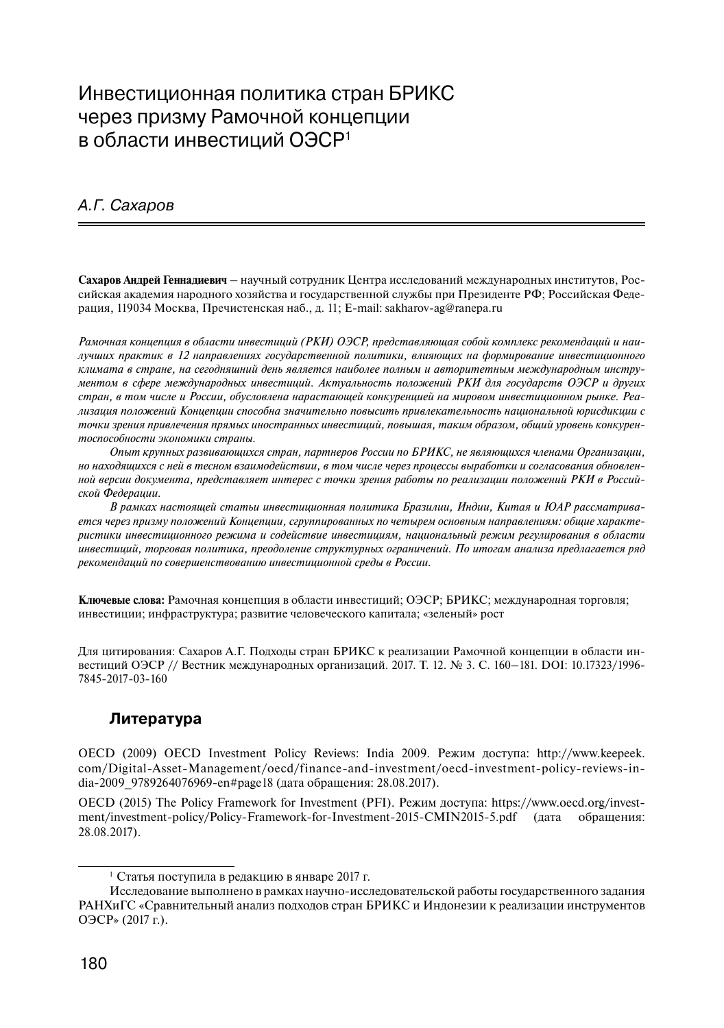## Инвестиционная политика стран БРИКС через призму Рамочной концепции в области инвестиций ОЭСР<sup>1</sup>

### А.Г. Сахаров

**Сахаров Андрей Геннадиевич** – научный сотрудник Центра исследований международных институтов, Российская академия народного хозяйства и государственной службы при Президенте РФ; Российская Федерация, 119034 Москва, Пречистенская наб., д. 11; E-mail: sakharov-ag@ranepa.ru

*Рамочная концепция в области инвестиций (РКИ) ОЭСР, представляющая собой комплекс рекомендаций и наилучших практик в 12 направлениях государственной политики, влияющих на формирование инвестиционного климата в стране, на сегодняшний день является наиболее полным и авторитетным международным инструментом в сфере международных инвестиций. Актуальность положений РКИ для государств ОЭСР и других стран, в том числе и России, обусловлена нарастающей конкуренцией на мировом инвестиционном рынке. Реализация положений Концепции способна значительно повысить привлекательность национальной юрисдикции с точки зрения привлечения прямых иностранных инвестиций, повышая, таким образом, общий уровень конкурентоспособности экономики страны.*

*Опыт крупных развивающихся стран, партнеров России по БРИКС, не являющихся членами Организации, но находящихся с ней в тесном взаимодействии, в том числе через процессы выработки и согласования обновленной версии документа, представляет интерес с точки зрения работы по реализации положений РКИ в Российской Федерации.*

*В рамках настоящей статьи инвестиционная политика Бразилии, Индии, Китая и ЮАР рассматривается через призму положений Концепции, сгруппированных по четырем основным направлениям: общие характеристики инвестиционного режима и содействие инвестициям, национальный режим регулирования в области инвестиций, торговая политика, преодоление структурных ограничений. По итогам анализа предлагается ряд рекомендаций по совершенствованию инвестиционной среды в России.*

**Ключевые слова:** Рамочная концепция в области инвестиций; ОЭСР; БРИКС; международная торговля; инвестиции; инфраструктура; развитие человеческого капитала; «зеленый» рост

Для цитирования: Сахаров А.Г. Подходы стран БРИКС к реализации Рамочной концепции в области инвестиций ОЭСР // Вестник международных организаций. 2017. Т. 12. № 3. С. 160–181. DOI: 10.17323/1996- 7845-2017-03-160

### **Литература**

OECD (2009) OECD Investment Policy Reviews: India 2009. Режим доступа: http://www.keepeek. com/Digital-Asset-Management/oecd/finance-and-investment/oecd-investment-policy-reviews-india-2009\_9789264076969-en#page18 (дата обращения: 28.08.2017).

OECD (2015) The Policy Framework for Investment (PFI). Режим доступа: https://www.oecd.org/investment/investment-policy/Policy-Framework-for-Investment-2015-CMIN2015-5.pdf (дата обращения: 28.08.2017).

<sup>1</sup> Статья поступила в редакцию в январе 2017 г.

Исследование выполнено в рамках научно-исследовательской работы государственного задания РАНХиГС «Сравнительный анализ подходов стран БРИКС и Индонезии к реализации инструментов ОЭСР» (2017 г.).